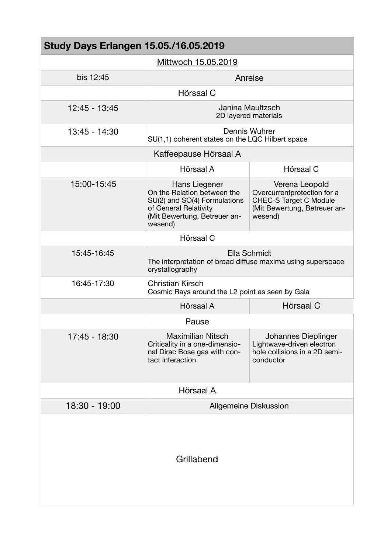| <b>Study Days Erlangen 15.05./16.05.2019</b> |                                                                                                                                                  |                                                                                                                           |  |
|----------------------------------------------|--------------------------------------------------------------------------------------------------------------------------------------------------|---------------------------------------------------------------------------------------------------------------------------|--|
| Mittwoch 15.05.2019                          |                                                                                                                                                  |                                                                                                                           |  |
| bis 12:45                                    | Anreise                                                                                                                                          |                                                                                                                           |  |
|                                              | Hörsaal C                                                                                                                                        |                                                                                                                           |  |
| 12:45 - 13:45                                | Janina Maultzsch<br>2D layered materials                                                                                                         |                                                                                                                           |  |
| 13:45 - 14:30                                | Dennis Wuhrer<br>SU(1,1) coherent states on the LQC Hilbert space                                                                                |                                                                                                                           |  |
| Kaffeepause Hörsaal A                        |                                                                                                                                                  |                                                                                                                           |  |
|                                              | Hörsaal A                                                                                                                                        | Hörsaal C                                                                                                                 |  |
| 15:00-15:45                                  | Hans Liegener<br>On the Relation between the<br>SU(2) and SO(4) Formulations<br>of General Relativity<br>(Mit Bewertung, Betreuer an-<br>wesend) | Verena Leopold<br>Overcurrentprotection for a<br><b>CHEC-S Target C Module</b><br>(Mit Bewertung, Betreuer an-<br>wesend) |  |
| Hörsaal C                                    |                                                                                                                                                  |                                                                                                                           |  |
| 15:45-16:45                                  | Ella Schmidt<br>The interpretation of broad diffuse maxima using superspace<br>crystallography                                                   |                                                                                                                           |  |
| 16:45-17:30                                  | <b>Christian Kirsch</b><br>Cosmic Rays around the L2 point as seen by Gaia                                                                       |                                                                                                                           |  |
|                                              | Hörsaal A                                                                                                                                        | Hörsaal C                                                                                                                 |  |
| Pause                                        |                                                                                                                                                  |                                                                                                                           |  |
| 17:45 - 18:30                                | <b>Maximilian Nitsch</b><br>Criticality in a one-dimensio-<br>nal Dirac Bose gas with con-<br>tact interaction                                   | Johannes Dieplinger<br>Lightwave-driven electron<br>hole collisions in a 2D semi-<br>conductor                            |  |
| Hörsaal A                                    |                                                                                                                                                  |                                                                                                                           |  |
| 18:30 - 19:00                                | <b>Allgemeine Diskussion</b>                                                                                                                     |                                                                                                                           |  |
| Grillabend                                   |                                                                                                                                                  |                                                                                                                           |  |